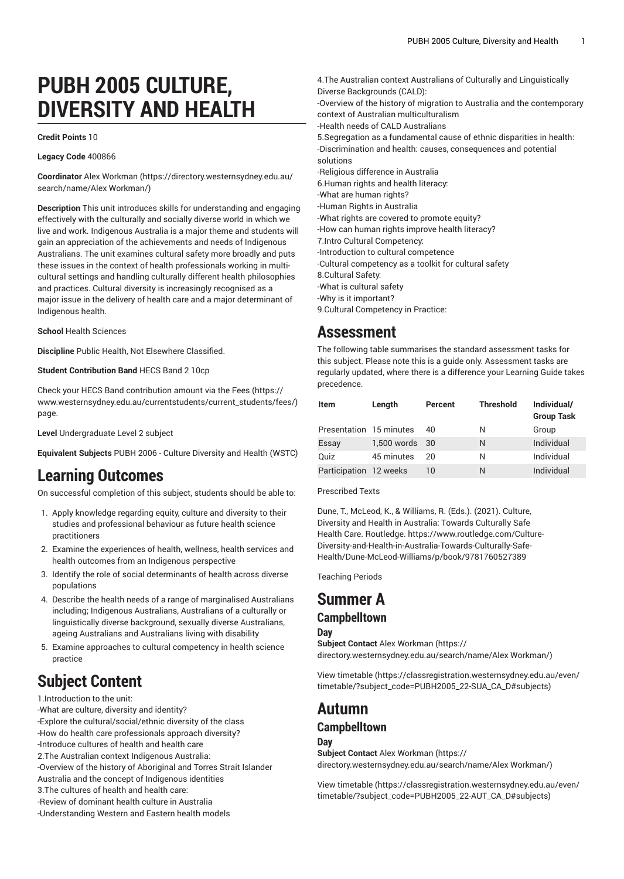# **PUBH 2005 CULTURE, DIVERSITY AND HEALTH**

#### **Credit Points** 10

**Legacy Code** 400866

**Coordinator** Alex [Workman](https://directory.westernsydney.edu.au/search/name/Alex Workman/) ([https://directory.westernsydney.edu.au/](https://directory.westernsydney.edu.au/search/name/Alex Workman/) [search/name/Alex](https://directory.westernsydney.edu.au/search/name/Alex Workman/) Workman/)

**Description** This unit introduces skills for understanding and engaging effectively with the culturally and socially diverse world in which we live and work. Indigenous Australia is a major theme and students will gain an appreciation of the achievements and needs of Indigenous Australians. The unit examines cultural safety more broadly and puts these issues in the context of health professionals working in multicultural settings and handling culturally different health philosophies and practices. Cultural diversity is increasingly recognised as a major issue in the delivery of health care and a major determinant of Indigenous health.

**School** Health Sciences

**Discipline** Public Health, Not Elsewhere Classified.

**Student Contribution Band** HECS Band 2 10cp

Check your HECS Band contribution amount via the [Fees \(https://](https://www.westernsydney.edu.au/currentstudents/current_students/fees/) [www.westernsydney.edu.au/currentstudents/current\\_students/fees/\)](https://www.westernsydney.edu.au/currentstudents/current_students/fees/) page.

**Level** Undergraduate Level 2 subject

**Equivalent Subjects** [PUBH 2006](/search/?P=PUBH%202006) - Culture Diversity and Health (WSTC)

### **Learning Outcomes**

On successful completion of this subject, students should be able to:

- 1. Apply knowledge regarding equity, culture and diversity to their studies and professional behaviour as future health science practitioners
- 2. Examine the experiences of health, wellness, health services and health outcomes from an Indigenous perspective
- 3. Identify the role of social determinants of health across diverse populations
- 4. Describe the health needs of a range of marginalised Australians including; Indigenous Australians, Australians of a culturally or linguistically diverse background, sexually diverse Australians, ageing Australians and Australians living with disability
- 5. Examine approaches to cultural competency in health science practice

# **Subject Content**

1.Introduction to the unit:

-What are culture, diversity and identity? -Explore the cultural/social/ethnic diversity of the class -How do health care professionals approach diversity? -Introduce cultures of health and health care 2.The Australian context Indigenous Australia: -Overview of the history of Aboriginal and Torres Strait Islander Australia and the concept of Indigenous identities 3.The cultures of health and health care: -Review of dominant health culture in Australia -Understanding Western and Eastern health models

Diverse Backgrounds (CALD): -Overview of the history of migration to Australia and the contemporary context of Australian multiculturalism -Health needs of CALD Australians 5.Segregation as a fundamental cause of ethnic disparities in health: -Discrimination and health: causes, consequences and potential solutions -Religious difference in Australia 6.Human rights and health literacy: -What are human rights? -Human Rights in Australia -What rights are covered to promote equity? -How can human rights improve health literacy? 7.Intro Cultural Competency: -Introduction to cultural competence -Cultural competency as a toolkit for cultural safety 8.Cultural Safety: -What is cultural safety -Why is it important? 9.Cultural Competency in Practice:

4.The Australian context Australians of Culturally and Linguistically

### **Assessment**

The following table summarises the standard assessment tasks for this subject. Please note this is a guide only. Assessment tasks are regularly updated, where there is a difference your Learning Guide takes precedence.

| Item                    | Length         | Percent | <b>Threshold</b> | Individual/<br><b>Group Task</b> |
|-------------------------|----------------|---------|------------------|----------------------------------|
| Presentation 15 minutes |                | 40      | N                | Group                            |
| Essay                   | 1,500 words 30 |         | N                | Individual                       |
| Quiz                    | 45 minutes     | 20      | Ν                | Individual                       |
| Participation 12 weeks  |                | 10      | N                | Individual                       |

Prescribed Texts

Dune, T., McLeod, K., & Williams, R. (Eds.). (2021). Culture, Diversity and Health in Australia: Towards Culturally Safe Health Care. Routledge. https://www.routledge.com/Culture-Diversity-and-Health-in-Australia-Towards-Culturally-Safe-Health/Dune-McLeod-Williams/p/book/9781760527389

Teaching Periods

## **Summer A**

**Campbelltown**

**Day Subject Contact** Alex [Workman](https://directory.westernsydney.edu.au/search/name/Alex Workman/) ([https://](https://directory.westernsydney.edu.au/search/name/Alex Workman/) [directory.westernsydney.edu.au/search/name/Alex](https://directory.westernsydney.edu.au/search/name/Alex Workman/) Workman/)

[View timetable](https://classregistration.westernsydney.edu.au/even/timetable/?subject_code=PUBH2005_22-SUA_CA_D#subjects) [\(https://classregistration.westernsydney.edu.au/even/](https://classregistration.westernsydney.edu.au/even/timetable/?subject_code=PUBH2005_22-SUA_CA_D#subjects) [timetable/?subject\\_code=PUBH2005\\_22-SUA\\_CA\\_D#subjects\)](https://classregistration.westernsydney.edu.au/even/timetable/?subject_code=PUBH2005_22-SUA_CA_D#subjects)

# **Autumn**

#### **Campbelltown**

**Day**

**Subject Contact** Alex [Workman](https://directory.westernsydney.edu.au/search/name/Alex Workman/) ([https://](https://directory.westernsydney.edu.au/search/name/Alex Workman/) [directory.westernsydney.edu.au/search/name/Alex](https://directory.westernsydney.edu.au/search/name/Alex Workman/) Workman/)

[View timetable](https://classregistration.westernsydney.edu.au/even/timetable/?subject_code=PUBH2005_22-AUT_CA_D#subjects) [\(https://classregistration.westernsydney.edu.au/even/](https://classregistration.westernsydney.edu.au/even/timetable/?subject_code=PUBH2005_22-AUT_CA_D#subjects) [timetable/?subject\\_code=PUBH2005\\_22-AUT\\_CA\\_D#subjects](https://classregistration.westernsydney.edu.au/even/timetable/?subject_code=PUBH2005_22-AUT_CA_D#subjects))